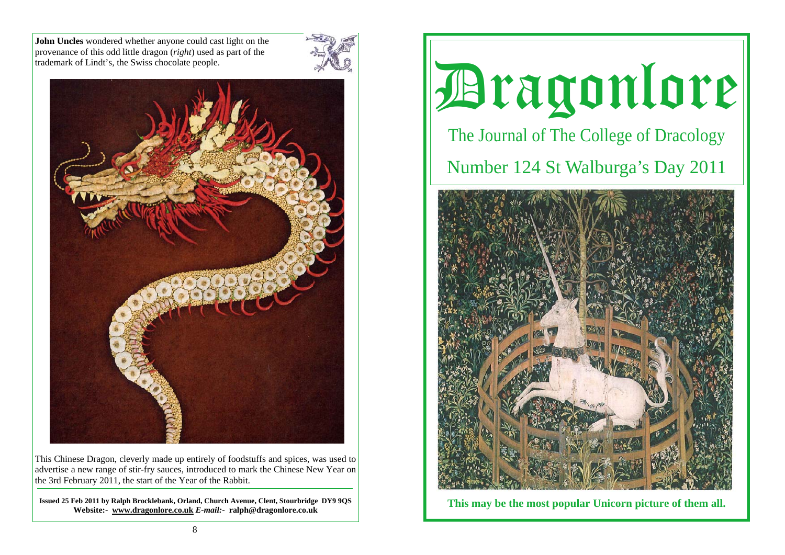**John Uncles** wondered whether anyone could cast light on the provenance of this odd little dragon (*right*) used as part of the trademark of Lindt's, the Swiss chocolate people.





This Chinese Dragon, cleverly made up entirely of foodstuffs and spices, was used to advertise a new range of stir-fry sauces, introduced to mark the Chinese New Year on the 3rd February 2011, the start of the Year of the Rabbit.

**Issued 25 Feb 2011 by Ralph Brocklebank, Orland, Church Avenue, Clent, Stourbridge DY9 9QS Website:- www.dragonlore.co.uk** *E-mail:-* **ralph@dragonlore.co.uk**



**This may be the most popular Unicorn picture of them all.**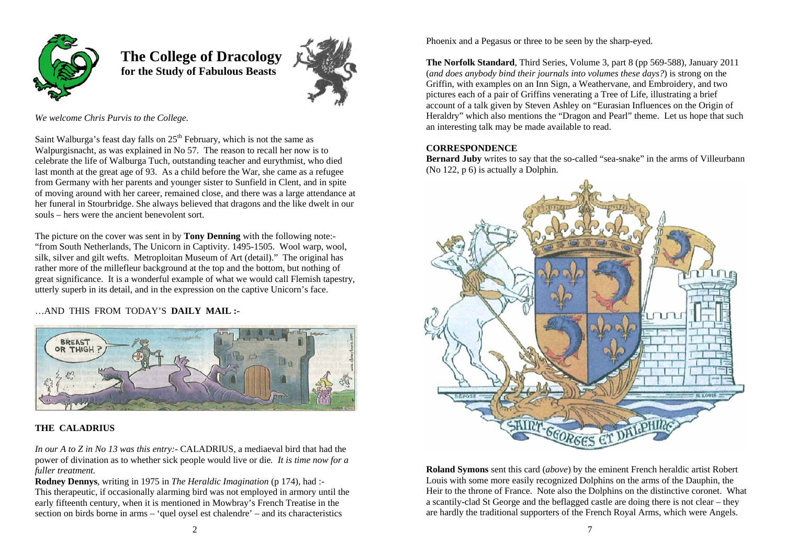

 **The College of Dracology for the Study of Fabulous Beasts** 



*We welcome Chris Purvis to the College.*

Saint Walburga's feast day falls on  $25<sup>th</sup>$  February, which is not the same as Walpurgisnacht, as was explained in No 57. The reason to recall her now is to celebrate the life of Walburga Tuch, outstanding teacher and eurythmist, who died last month at the great age of 93. As a child before the War, she came as a refugee from Germany with her parents and younger sister to Sunfield in Clent, and in spite of moving around with her career, remained close, and there was a large attendance at her funeral in Stourbridge. She always believed that dragons and the like dwelt in our souls – hers were the ancient benevolent sort.

The picture on the cover was sent in by **Tony Denning** with the following note:- "from South Netherlands, The Unicorn in Captivity. 1495-1505. Wool warp, wool, silk, silver and gilt wefts. Metroploitan Museum of Art (detail)." The original has rather more of the millefleur background at the top and the bottom, but nothing of great significance. It is a wonderful example of what we would call Flemish tapestry, utterly superb in its detail, and in the expression on the captive Unicorn's face.

…AND THIS FROM TODAY'S **DAILY MAIL :-** 



## **THE CALADRIUS**

*In our A to Z in No 13 was this entry:-* CALADRIUS, a mediaeval bird that had the power of divination as to whether sick people would live or die*. It is time now for a fuller treatment.*

**Rodney Dennys**, writing in 1975 in *The Heraldic Imagination* (p 174), had :- This therapeutic, if occasionally alarming bird was not employed in armory until the early fifteenth century, when it is mentioned in Mowbray's French Treatise in the section on birds borne in arms – 'quel oysel est chalendre' – and its characteristics

Phoenix and a Pegasus or three to be seen by the sharp-eyed.

**The Norfolk Standard**, Third Series, Volume 3, part 8 (pp 569-588), January 2011 (*and does anybody bind their journals into volumes these days?*) is strong on the Griffin, with examples on an Inn Sign, a Weathervane, and Embroidery, and two pictures each of a pair of Griffins venerating a Tree of Life, illustrating a brief account of a talk given by Steven Ashley on "Eurasian Influences on the Origin of Heraldry" which also mentions the "Dragon and Pearl" theme. Let us hope that such an interesting talk may be made available to read.

#### **CORRESPONDENCE**

**Bernard Juby** writes to say that the so-called "sea-snake" in the arms of Villeurbann (No 122, p 6) is actually a Dolphin.



**Roland Symons** sent this card (*above*) by the eminent French heraldic artist Robert Louis with some more easily recognized Dolphins on the arms of the Dauphin, the Heir to the throne of France. Note also the Dolphins on the distinctive coronet. What a scantily-clad St George and the beflagged castle are doing there is not clear – they are hardly the traditional supporters of the French Royal Arms, which were Angels.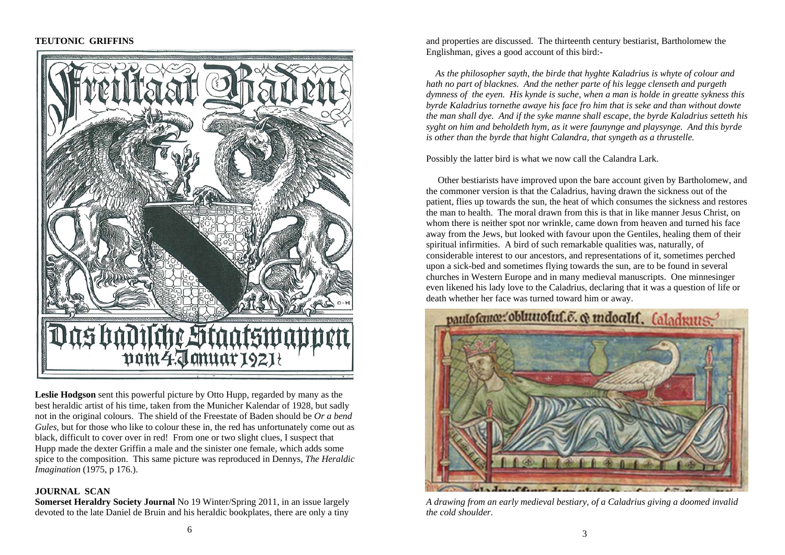## **TEUTONIC GRIFFINS**



**Leslie Hodgson** sent this powerful picture by Otto Hupp, regarded by many as the best heraldic artist of his time, taken from the Municher Kalendar of 1928, but sadly not in the original colours. The shield of the Freestate of Baden should be *Or a bend Gules*, but for those who like to colour these in, the red has unfortunately come out as black, difficult to cover over in red! From one or two slight clues, I suspect that Hupp made the dexter Griffin a male and the sinister one female, which adds some spice to the composition. This same picture was reproduced in Dennys, *The Heraldic Imagination* (1975, p 176.).

#### **JOURNAL SCAN**

**Somerset Heraldry Society Journal** No 19 Winter/Spring 2011, in an issue largely devoted to the late Daniel de Bruin and his heraldic bookplates, there are only a tiny

and properties are discussed. The thirteenth century bestiarist, Bartholomew the Englishman, gives a good account of this bird:-

*As the philosopher sayth, the birde that hyghte Kaladrius is whyte of colour and hath no part of blacknes. And the nether parte of his legge clenseth and purgeth dymness of the eyen. His kynde is suche, when a man is holde in greatte sykness this byrde Kaladrius tornethe awaye his face fro him that is seke and than without dowte the man shall dye. And if the syke manne shall escape, the byrde Kaladrius setteth his syght on him and beholdeth hym, as it were faunynge and playsynge. And this byrde is other than the byrde that hight Calandra, that syngeth as a thrustelle.* 

Possibly the latter bird is what we now call the Calandra Lark.

 Other bestiarists have improved upon the bare account given by Bartholomew, and the commoner version is that the Caladrius, having drawn the sickness out of the patient, flies up towards the sun, the heat of which consumes the sickness and restores the man to health. The moral drawn from this is that in like manner Jesus Christ, on whom there is neither spot nor wrinkle, came down from heaven and turned his face away from the Jews, but looked with favour upon the Gentiles, healing them of their spiritual infirmities. A bird of such remarkable qualities was, naturally, of considerable interest to our ancestors, and representations of it, sometimes perched upon a sick-bed and sometimes flying towards the sun, are to be found in several churches in Western Europe and in many medieval manuscripts. One minnesinger even likened his lady love to the Caladrius, declaring that it was a question of life or death whether her face was turned toward him or away.



*A drawing from an early medieval bestiary, of a Caladrius giving a doomed invalid the cold shoulder.*